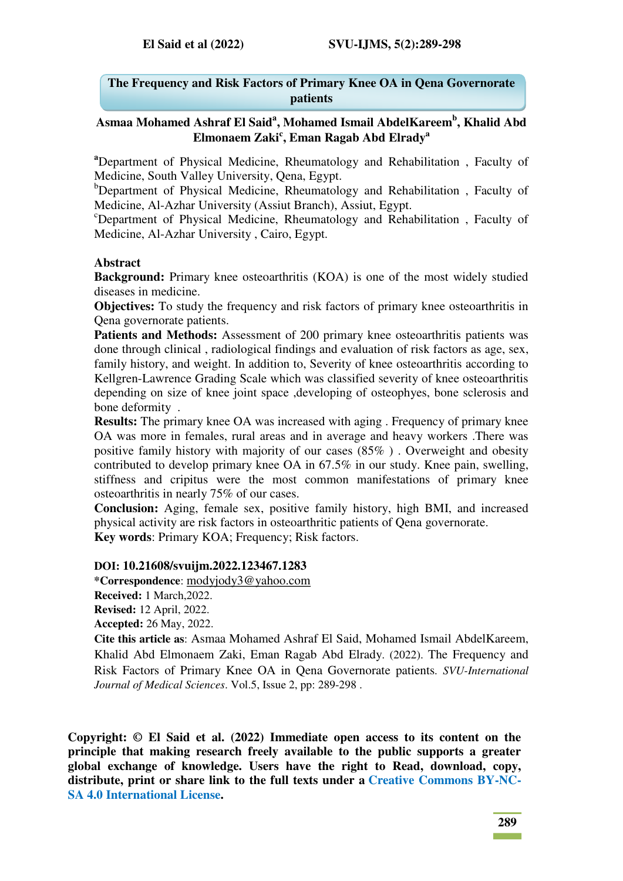### **The Frequency and Risk Factors of Primary Knee OA in Qena Governorate patients**

## **Asmaa Mohamed Ashraf El Said<sup>a</sup> , Mohamed Ismail AbdelKareem<sup>b</sup> , Khalid Abd Elmonaem Zaki<sup>c</sup> , Eman Ragab Abd Elrady<sup>a</sup>**

**<sup>a</sup>**Department of Physical Medicine, Rheumatology and Rehabilitation , Faculty of Medicine, South Valley University, Qena, Egypt.

<sup>b</sup>Department of Physical Medicine, Rheumatology and Rehabilitation, Faculty of Medicine, Al-Azhar University (Assiut Branch), Assiut, Egypt.

<sup>c</sup>Department of Physical Medicine, Rheumatology and Rehabilitation, Faculty of Medicine, Al-Azhar University , Cairo, Egypt.

#### **Abstract**

**Background:** Primary knee osteoarthritis (KOA) is one of the most widely studied diseases in medicine.

**Objectives:** To study the frequency and risk factors of primary knee osteoarthritis in Qena governorate patients.

Patients and Methods: Assessment of 200 primary knee osteoarthritis patients was done through clinical , radiological findings and evaluation of risk factors as age, sex, family history, and weight. In addition to, Severity of knee osteoarthritis according to Kellgren-Lawrence Grading Scale which was classified severity of knee osteoarthritis depending on size of knee joint space ,developing of osteophyes, bone sclerosis and bone deformity .

**Results:** The primary knee OA was increased with aging . Frequency of primary knee OA was more in females, rural areas and in average and heavy workers .There was positive family history with majority of our cases (85% ) . Overweight and obesity contributed to develop primary knee OA in 67.5% in our study. Knee pain, swelling, stiffness and cripitus were the most common manifestations of primary knee osteoarthritis in nearly 75% of our cases.

**Conclusion:** Aging, female sex, positive family history, high BMI, and increased physical activity are risk factors in osteoarthritic patients of Qena governorate. **Key words**: Primary KOA; Frequency; Risk factors.

#### **DOI: 10.21608/svuijm.2022.123467.1283**

**\*Correspondence**: [modyjody3@yahoo.com](mailto:modyjody3@yahoo.com)

**Received:** 1 March,2022.

**Revised:** 12 April, 2022.

**Accepted:** 26 May, 2022.

**Cite this article as**: Asmaa Mohamed Ashraf El Said, Mohamed Ismail AbdelKareem, Khalid Abd Elmonaem Zaki, Eman Ragab Abd Elrady. (2022). The Frequency and Risk Factors of Primary Knee OA in Qena Governorate patients*. SVU-International Journal of Medical Sciences*. Vol.5, Issue 2, pp: 289-298 .

**Copyright: © El Said et al. (2022) Immediate open access to its content on the principle that making research freely available to the public supports a greater global exchange of knowledge. Users have the right to Read, download, copy, distribute, print or share link to the full texts under a [Creative Commons BY-NC-](https://creativecommons.org/licenses/by-nc-sa/4.0/)[SA 4.0 International License.](https://creativecommons.org/licenses/by-nc-sa/4.0/)**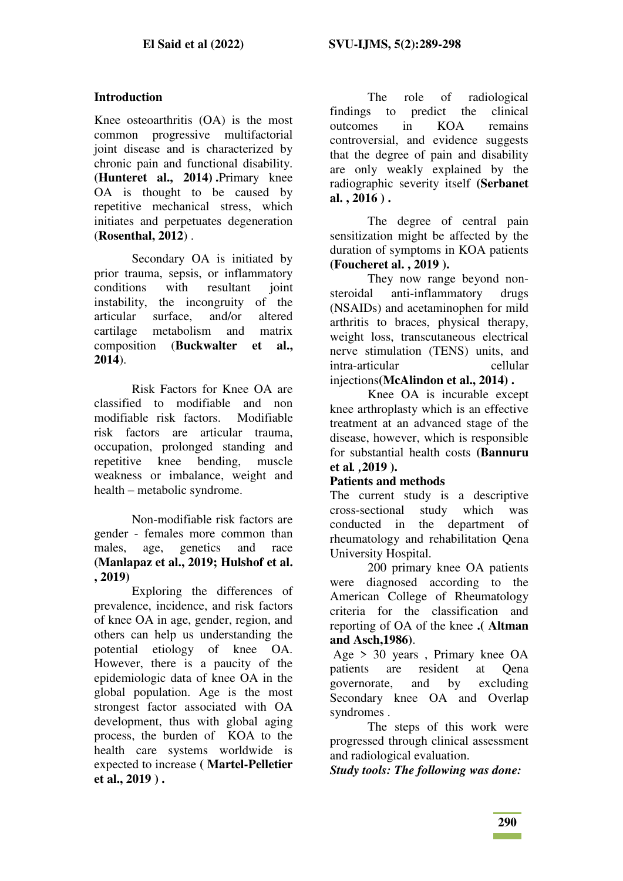#### **Introduction**

Knee osteoarthritis (OA) is the most common progressive multifactorial joint disease and is characterized by chronic pain and functional disability. **(Hunteret al., 2014) .**Primary knee OA is thought to be caused by repetitive mechanical stress, which initiates and perpetuates degeneration (**Rosenthal, 2012**) .

Secondary OA is initiated by prior trauma, sepsis, or inflammatory conditions with resultant joint instability, the incongruity of the articular surface, and/or altered cartilage metabolism and matrix composition (**Buckwalter et al., 2014**).

Risk Factors for Knee OA are classified to modifiable and non modifiable risk factors. Modifiable risk factors are articular trauma, occupation, prolonged standing and repetitive knee bending, muscle weakness or imbalance, weight and health – metabolic syndrome.

Non-modifiable risk factors are gender - females more common than males, age, genetics and race **(Manlapaz et al., 2019; Hulshof et al. , 2019)**

Exploring the differences of prevalence, incidence, and risk factors of knee OA in age, gender, region, and others can help us understanding the potential etiology of knee OA. However, there is a paucity of the epidemiologic data of knee OA in the global population. Age is the most strongest factor associated with OA development, thus with global aging process, the burden of KOA to the health care systems worldwide is expected to increase **( Martel-Pelletier et al., 2019 ) .**

The role of radiological findings to predict the clinical outcomes in KOA remains controversial, and evidence suggests that the degree of pain and disability are only weakly explained by the radiographic severity itself **(Serbanet al. , 2016 ) .** 

The degree of central pain sensitization might be affected by the duration of symptoms in KOA patients **(Foucheret al. , 2019 ).** 

They now range beyond nonsteroidal anti-inflammatory drugs (NSAIDs) and acetaminophen for mild arthritis to braces, physical therapy, weight loss, transcutaneous electrical nerve stimulation (TENS) units, and intra-articular cellular injections**(McAlindon et al., 2014) .** 

Knee OA is incurable except knee arthroplasty which is an effective treatment at an advanced stage of the disease, however, which is responsible for substantial health costs **(Bannuru et al***. ,***2019 ).** 

#### **Patients and methods**

The current study is a descriptive cross-sectional study which was conducted in the department of rheumatology and rehabilitation Qena University Hospital.

200 primary knee OA patients were diagnosed according to the American College of Rheumatology criteria for the classification and reporting of OA of the knee **.( Altman and Asch,1986)**.

 Age > 30 years , Primary knee OA patients are resident at Qena<br>governorate, and by excluding governorate, and by Secondary knee OA and Overlap syndromes .

The steps of this work were progressed through clinical assessment and radiological evaluation.

*Study tools: The following was done:*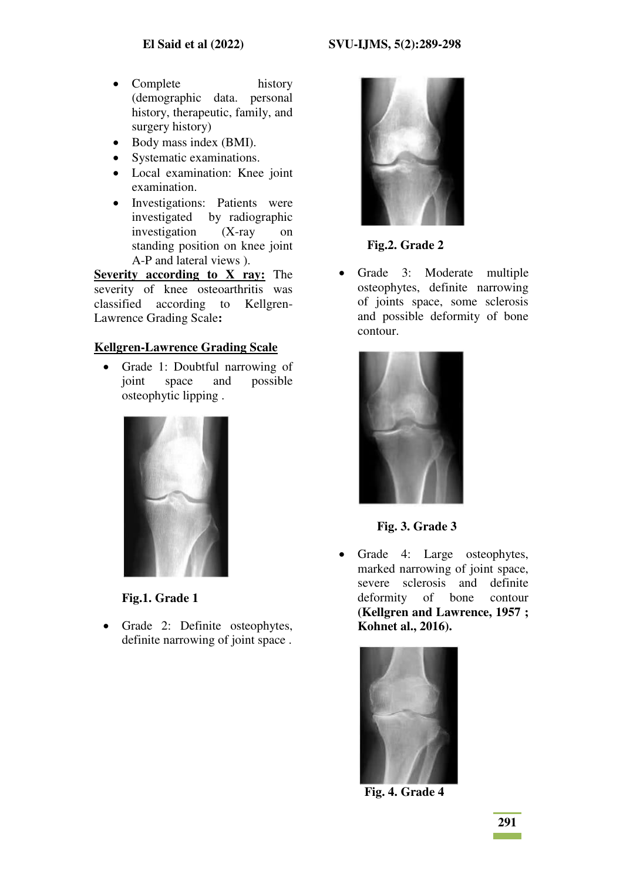- Complete history (demographic data. personal history, therapeutic, family, and surgery history)
- Body mass index (BMI).
- Systematic examinations.
- Local examination: Knee joint examination.
- Investigations: Patients were investigated by radiographic investigation (X-ray on standing position on knee joint A-P and lateral views ).

**Severity according to X ray:** The severity of knee osteoarthritis was classified according to Kellgren-Lawrence Grading Scale**:**

### **Kellgren-Lawrence Grading Scale**

• Grade 1: Doubtful narrowing of joint space and possible osteophytic lipping .



**Fig.1. Grade 1** 

• Grade 2: Definite osteophytes, definite narrowing of joint space .



 **Fig.2. Grade 2** 

• Grade 3: Moderate multiple osteophytes, definite narrowing of joints space, some sclerosis and possible deformity of bone contour.



 **Fig. 3. Grade 3** 

 Grade 4: Large osteophytes, marked narrowing of joint space, severe sclerosis and definite deformity of bone contour **(Kellgren and Lawrence, 1957 ; Kohnet al., 2016).**



 **Fig. 4. Grade 4**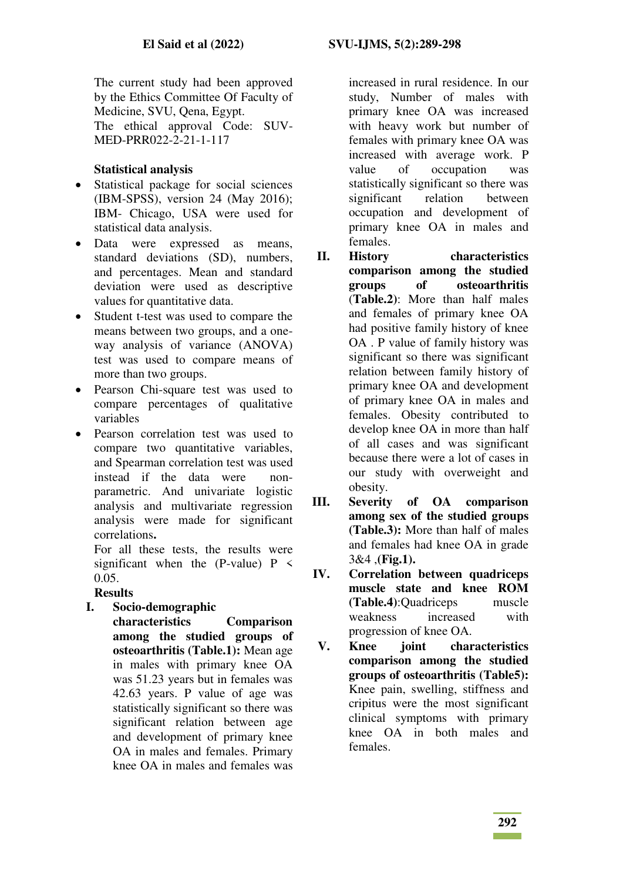The current study had been approved by the Ethics Committee Of Faculty of Medicine, SVU, Qena, Egypt. The ethical approval Code: SUV-MED-PRR022-2-21-1-117

## **Statistical analysis**

- Statistical package for social sciences (IBM-SPSS), version 24 (May 2016); IBM- Chicago, USA were used for statistical data analysis.
- Data were expressed as means, standard deviations (SD), numbers, and percentages. Mean and standard deviation were used as descriptive values for quantitative data.
- Student t-test was used to compare the means between two groups, and a oneway analysis of variance (ANOVA) test was used to compare means of more than two groups.
- Pearson Chi-square test was used to compare percentages of qualitative variables
- Pearson correlation test was used to compare two quantitative variables, and Spearman correlation test was used instead if the data were nonparametric. And univariate logistic analysis and multivariate regression analysis were made for significant correlations**.**

For all these tests, the results were significant when the (P-value)  $P \leq$ 0.05.

## **Results**

- **I. Socio-demographic** 
	- **characteristics Comparison among the studied groups of osteoarthritis (Table.1):** Mean age in males with primary knee OA was 51.23 years but in females was 42.63 years. P value of age was statistically significant so there was significant relation between age and development of primary knee OA in males and females. Primary knee OA in males and females was

increased in rural residence. In our study, Number of males with primary knee OA was increased with heavy work but number of females with primary knee OA was increased with average work. P value of occupation was statistically significant so there was significant relation between occupation and development of primary knee OA in males and females.

- **II. History characteristics comparison among the studied groups of osteoarthritis**  (**Table.2)**: More than half males and females of primary knee OA had positive family history of knee OA . P value of family history was significant so there was significant relation between family history of primary knee OA and development of primary knee OA in males and females. Obesity contributed to develop knee OA in more than half of all cases and was significant because there were a lot of cases in our study with overweight and obesity.
- **III. Severity of OA comparison among sex of the studied groups (Table.3):** More than half of males and females had knee OA in grade 3&4 ,**(Fig.1).**
- **IV. Correlation between quadriceps muscle state and knee ROM (Table.4)**:Quadriceps muscle weakness increased with progression of knee OA.
- **V. Knee joint characteristics comparison among the studied groups of osteoarthritis (Table5):**  Knee pain, swelling, stiffness and cripitus were the most significant clinical symptoms with primary knee OA in both males and females.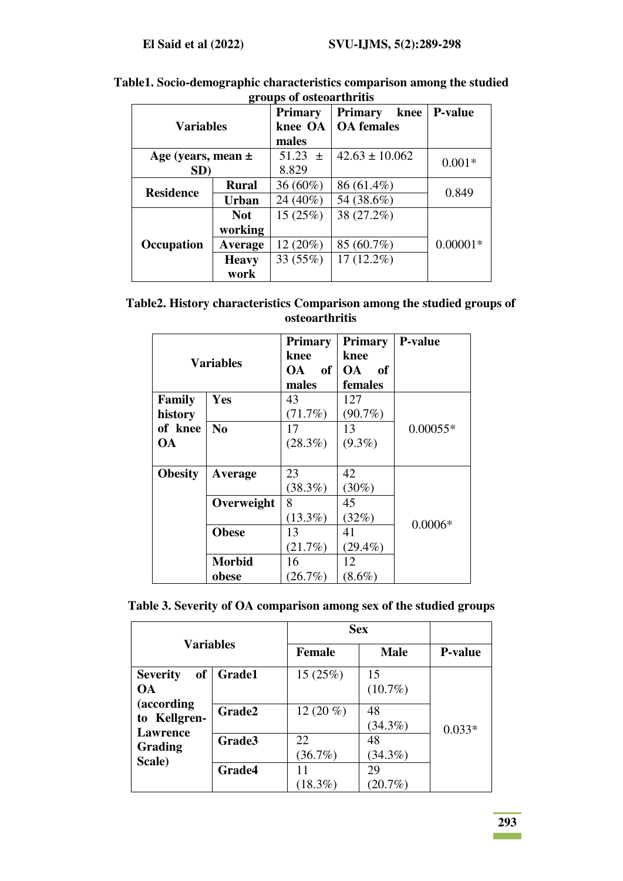|                        |              | <b>Primary</b> | knee<br><b>Primary</b> | <b>P-value</b> |
|------------------------|--------------|----------------|------------------------|----------------|
| <b>Variables</b>       |              | knee OA        | <b>OA</b> females      |                |
|                        |              | males          |                        |                |
| Age (years, mean $\pm$ |              | $51.23 \pm$    | $42.63 \pm 10.062$     | $0.001*$       |
| SD)                    |              | 8.829          |                        |                |
| <b>Residence</b>       | <b>Rural</b> | $36(60\%)$     | 86 (61.4%)             | 0.849          |
|                        | <b>Urban</b> | 24 (40%)       | 54 (38.6%)             |                |
|                        | <b>Not</b>   | 15(25%)        | 38 (27.2%)             |                |
|                        | working      |                |                        |                |
| Occupation             | Average      | 12 (20%)       | 85 (60.7%)             | $0.00001*$     |
|                        | <b>Heavy</b> | 33 (55%)       | $17(12.2\%)$           |                |
|                        | work         |                |                        |                |

**Table1. Socio-demographic characteristics comparison among the studied groups of osteoarthritis** 

| Table 2. History characteristics Comparison among the studied groups of |  |  |
|-------------------------------------------------------------------------|--|--|
| osteoarthritis                                                          |  |  |

| <b>Variables</b> |                | <b>Primary</b><br>knee | <b>Primary</b><br>knee | <b>P-value</b> |
|------------------|----------------|------------------------|------------------------|----------------|
|                  |                | of<br><b>OA</b>        | <b>OA</b><br>of        |                |
|                  |                | males                  | females                |                |
| Family           | Yes            | 43                     | 127                    |                |
| history          |                | (71.7%)                | $(90.7\%)$             |                |
| of knee          | $\mathbf{N_0}$ | 17                     | 13                     | $0.00055*$     |
| <b>OA</b>        |                | $(28.3\%)$             | $(9.3\%)$              |                |
|                  |                |                        |                        |                |
| <b>Obesity</b>   | Average        | 23                     | 42                     |                |
|                  |                | $(38.3\%)$             | $(30\%)$               |                |
|                  | Overweight     | 8                      | 45                     |                |
|                  |                | $(13.3\%)$             | (32%)                  | $0.0006*$      |
|                  | <b>Obese</b>   | 13                     | 41                     |                |
|                  |                | (21.7%)                | $(29.4\%)$             |                |
|                  | <b>Morbid</b>  | 16                     | 12                     |                |
|                  | obese          | (26.7%)                | $(8.6\%)$              |                |

|  |  | Table 3. Severity of OA comparison among sex of the studied groups |  |  |
|--|--|--------------------------------------------------------------------|--|--|
|  |  |                                                                    |  |  |

| <b>Variables</b>                          |               | <b>Sex</b>    |                  |                |
|-------------------------------------------|---------------|---------------|------------------|----------------|
|                                           |               | <b>Female</b> | <b>Male</b>      | <b>P-value</b> |
| <b>of</b><br><b>Severity</b><br><b>OA</b> | <b>Grade1</b> | 15 (25%)      | 15<br>$(10.7\%)$ |                |
| (according                                | Grade2        | 12 $(20\%$    | 48               |                |
| to Kellgren-<br><b>Lawrence</b>           |               |               | $(34.3\%)$       | $0.033*$       |
| Grading                                   | Grade3        | 22<br>(36.7%) | 48               |                |
| Scale)                                    | Grade4        | 11            | $(34.3\%)$<br>29 |                |
|                                           |               | $(18.3\%)$    | $(20.7\%)$       |                |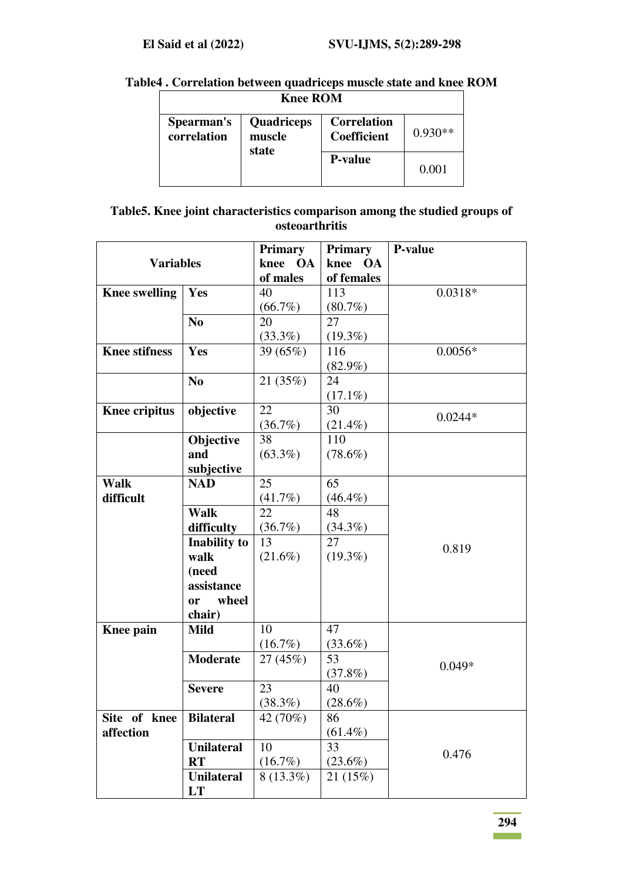# **Table4 . Correlation between quadriceps muscle state and knee ROM**

| <b>Knee ROM</b>           |                                      |                                   |           |  |
|---------------------------|--------------------------------------|-----------------------------------|-----------|--|
| Spearman's<br>correlation | <b>Quadriceps</b><br>muscle<br>state | <b>Correlation</b><br>Coefficient | $0.930**$ |  |
|                           |                                      | <b>P-value</b>                    | 0.001     |  |

## **Table5. Knee joint characteristics comparison among the studied groups of osteoarthritis**

|                      |                     | Primary     | <b>Primary</b>    | <b>P-value</b> |
|----------------------|---------------------|-------------|-------------------|----------------|
| <b>Variables</b>     |                     | knee OA     | knee<br><b>OA</b> |                |
|                      |                     | of males    | of females        |                |
| <b>Knee swelling</b> | Yes                 | 40          | 113               | $0.0318*$      |
|                      |                     | (66.7%)     | $(80.7\%)$        |                |
|                      | N <sub>0</sub>      | 20          | 27                |                |
|                      |                     | (33.3%)     | $(19.3\%)$        |                |
| <b>Knee stifness</b> | Yes                 | 39 (65%)    | 116               | $0.0056*$      |
|                      |                     |             | $(82.9\%)$        |                |
|                      | N <sub>0</sub>      | 21 (35%)    | 24                |                |
|                      |                     |             | $(17.1\%)$        |                |
| <b>Knee cripitus</b> | objective           | 22          | 30                |                |
|                      |                     | (36.7%)     | $(21.4\%)$        | $0.0244*$      |
|                      | Objective           | 38          | 110               |                |
|                      | and                 | $(63.3\%)$  | $(78.6\%)$        |                |
|                      | subjective          |             |                   |                |
| <b>Walk</b>          | <b>NAD</b>          | 25          | 65                |                |
| difficult            |                     | (41.7%)     | $(46.4\%)$        |                |
|                      | <b>Walk</b>         | 22          | 48                |                |
|                      | difficulty          | (36.7%)     | $(34.3\%)$        |                |
|                      | <b>Inability to</b> | 13          | 27                | 0.819          |
|                      | walk                | $(21.6\%)$  | $(19.3\%)$        |                |
|                      | (need               |             |                   |                |
|                      | assistance          |             |                   |                |
|                      | wheel<br>or         |             |                   |                |
|                      | chair)              |             |                   |                |
| Knee pain            | <b>Mild</b>         | 10          | 47                |                |
|                      |                     | $(16.7\%)$  | $(33.6\%)$        |                |
|                      | <b>Moderate</b>     | 27 (45%)    | 53                | $0.049*$       |
|                      |                     |             | (37.8%)           |                |
|                      | <b>Severe</b>       | 23          | 40                |                |
|                      |                     | (38.3%)     | $(28.6\%)$        |                |
| Site of knee         | <b>Bilateral</b>    | 42 (70%)    | 86                |                |
| affection            |                     |             | $(61.4\%)$        |                |
|                      | <b>Unilateral</b>   | 10          | 33                | 0.476          |
|                      | <b>RT</b>           | $(16.7\%)$  | $(23.6\%)$        |                |
|                      | <b>Unilateral</b>   | $8(13.3\%)$ | 21 (15%)          |                |
|                      | LT                  |             |                   |                |

**294**   $\sim 10^{11}$  km s  $^{-1}$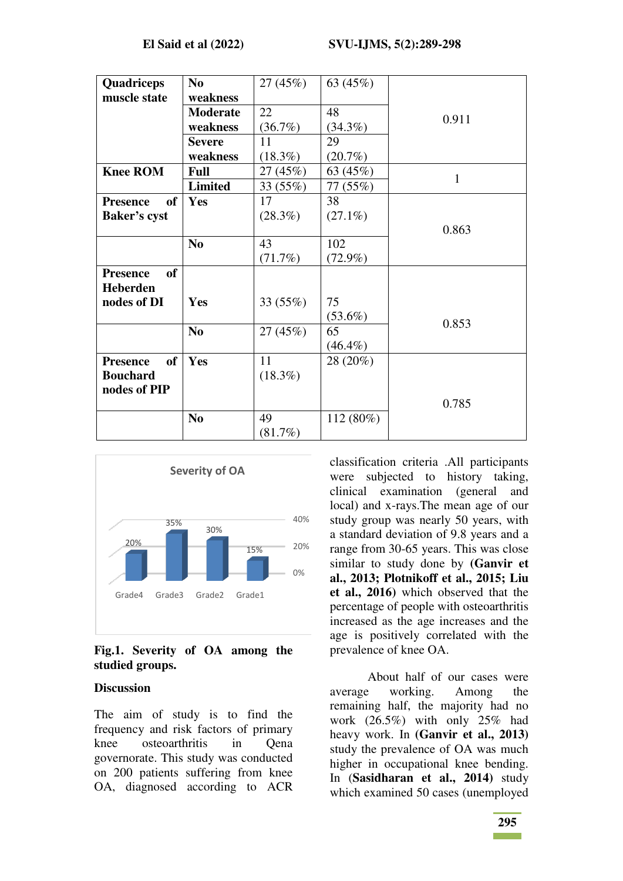| Quadriceps                   | N <sub>0</sub>  | 27 (45%)   | 63 (45%)   |       |
|------------------------------|-----------------|------------|------------|-------|
| muscle state                 | weakness        |            |            |       |
|                              |                 |            |            |       |
|                              | <b>Moderate</b> | 22         | 48         | 0.911 |
|                              | weakness        | (36.7%)    | $(34.3\%)$ |       |
|                              | <b>Severe</b>   | 11         | 29         |       |
|                              | weakness        | $(18.3\%)$ | $(20.7\%)$ |       |
| <b>Knee ROM</b>              | <b>Full</b>     | 27 (45%)   | 63 (45%)   | 1     |
|                              | <b>Limited</b>  | 33 (55%)   | 77 (55%)   |       |
| of<br><b>Presence</b>        | Yes             | 17         | 38         |       |
| <b>Baker's cyst</b>          |                 | $(28.3\%)$ | $(27.1\%)$ |       |
|                              |                 |            |            | 0.863 |
|                              | N <sub>0</sub>  | 43         | 102        |       |
|                              |                 | (71.7%)    | $(72.9\%)$ |       |
| <b>of</b><br><b>Presence</b> |                 |            |            |       |
| <b>Heberden</b>              |                 |            |            |       |
| nodes of DI                  | Yes             | 33 (55%)   | 75         |       |
|                              |                 |            | $(53.6\%)$ |       |
|                              | N <sub>0</sub>  | 27(45%)    | 65         | 0.853 |
|                              |                 |            | $(46.4\%)$ |       |
| of<br><b>Presence</b>        | Yes             | 11         | 28 (20%)   |       |
| <b>Bouchard</b>              |                 | $(18.3\%)$ |            |       |
| nodes of PIP                 |                 |            |            |       |
|                              |                 |            |            | 0.785 |
|                              | N <sub>0</sub>  | 49         | 112 (80%)  |       |
|                              |                 | (81.7%)    |            |       |



### **Fig.1. Severity of OA among the studied groups.**

#### **Discussion**

The aim of study is to find the frequency and risk factors of primary knee osteoarthritis in Qena governorate. This study was conducted on 200 patients suffering from knee OA, diagnosed according to ACR classification criteria .All participants were subjected to history taking, clinical examination (general and local) and x-rays.The mean age of our study group was nearly 50 years, with a standard deviation of 9.8 years and a range from 30-65 years. This was close similar to study done by **(Ganvir et al., 2013; Plotnikoff et al., 2015; Liu et al., 2016)** which observed that the percentage of people with osteoarthritis increased as the age increases and the age is positively correlated with the prevalence of knee OA.

About half of our cases were average working. Among the remaining half, the majority had no work (26.5%) with only 25% had heavy work. In **(Ganvir et al., 2013)** study the prevalence of OA was much higher in occupational knee bending. In (**Sasidharan et al., 2014)** study which examined 50 cases (unemployed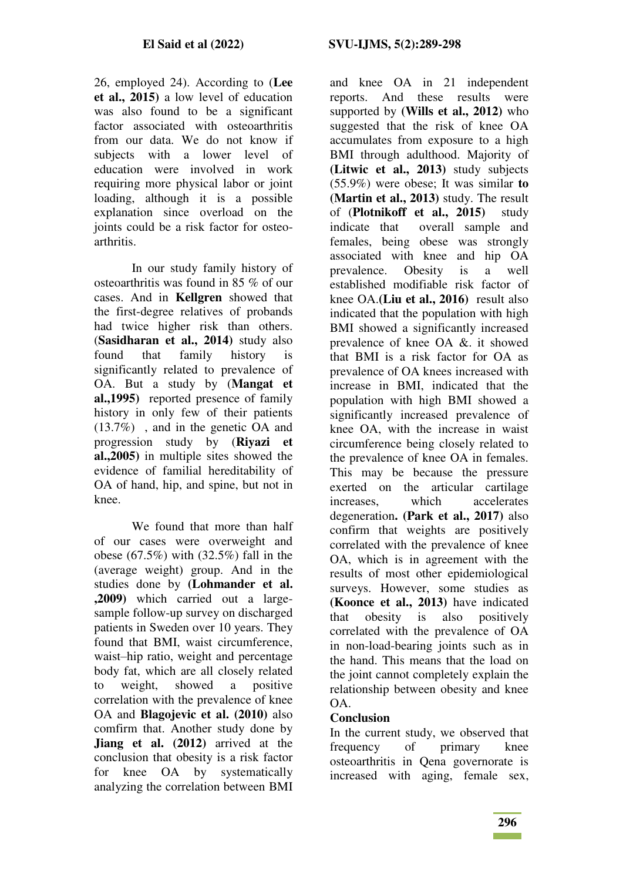26, employed 24). According to (**Lee et al., 2015)** a low level of education was also found to be a significant factor associated with osteoarthritis from our data. We do not know if subjects with a lower level of education were involved in work requiring more physical labor or joint loading, although it is a possible explanation since overload on the joints could be a risk factor for osteoarthritis.

In our study family history of osteoarthritis was found in 85 % of our cases. And in **Kellgren** showed that the first-degree relatives of probands had twice higher risk than others. (**Sasidharan et al., 2014)** study also found that family history is significantly related to prevalence of OA. But a study by (**Mangat et al.,1995)** reported presence of family history in only few of their patients (13.7%) , and in the genetic OA and progression study by (**Riyazi et al.,2005)** in multiple sites showed the evidence of familial hereditability of OA of hand, hip, and spine, but not in knee.

We found that more than half of our cases were overweight and obese (67.5%) with (32.5%) fall in the (average weight) group. And in the studies done by **(Lohmander et al. ,2009)** which carried out a largesample follow-up survey on discharged patients in Sweden over 10 years. They found that BMI, waist circumference, waist–hip ratio, weight and percentage body fat, which are all closely related to weight, showed a positive correlation with the prevalence of knee OA and **Blagojevic et al. (2010)** also comfirm that. Another study done by **Jiang et al.** (2012) arrived at the conclusion that obesity is a risk factor for knee OA by systematically analyzing the correlation between BMI

and knee OA in 21 independent reports. And these results were supported by **(Wills et al., 2012)** who suggested that the risk of knee OA accumulates from exposure to a high BMI through adulthood. Majority of **(Litwic et al., 2013)** study subjects (55.9%) were obese; It was similar **to (Martin et al., 2013)** study. The result of (**Plotnikoff et al., 2015)** study indicate that overall sample and females, being obese was strongly associated with knee and hip OA prevalence. Obesity is a well established modifiable risk factor of knee OA.**(Liu et al., 2016)** result also indicated that the population with high BMI showed a significantly increased prevalence of knee OA &. it showed that BMI is a risk factor for OA as prevalence of OA knees increased with increase in BMI, indicated that the population with high BMI showed a significantly increased prevalence of knee OA, with the increase in waist circumference being closely related to the prevalence of knee OA in females. This may be because the pressure exerted on the articular cartilage increases, which accelerates degeneration**. (Park et al., 2017)** also confirm that weights are positively correlated with the prevalence of knee OA, which is in agreement with the results of most other epidemiological surveys. However, some studies as **(Koonce et al., 2013)** have indicated that obesity is also positively correlated with the prevalence of OA in non-load-bearing joints such as in the hand. This means that the load on the joint cannot completely explain the relationship between obesity and knee OA.

## **Conclusion**

In the current study, we observed that frequency of primary knee osteoarthritis in Qena governorate is increased with aging, female sex,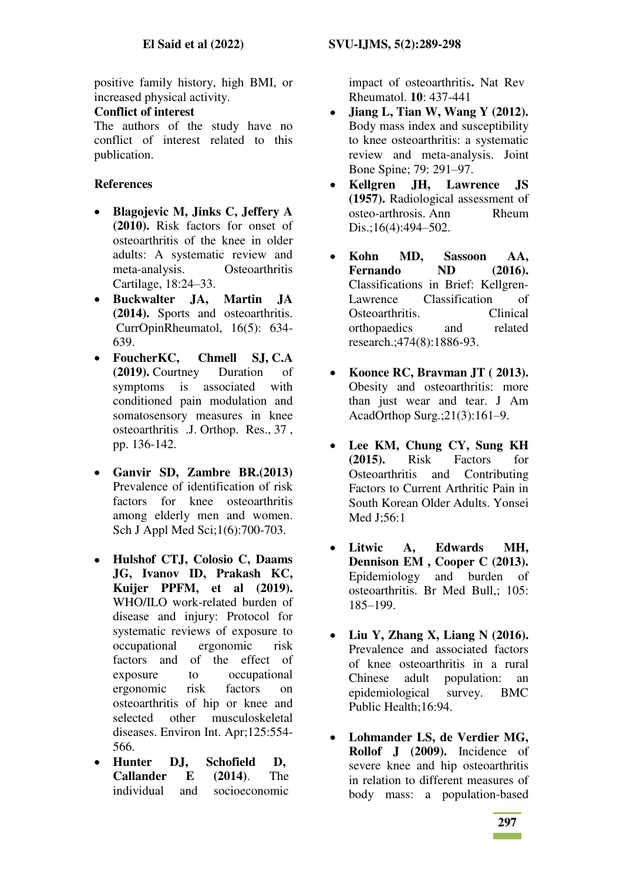positive family history, high BMI, or increased physical activity.

### **Conflict of interest**

The authors of the study have no conflict of interest related to this publication.

## **References**

- **Blagojevic M, Jinks C, Jeffery A (2010).** Risk factors for onset of osteoarthritis of the knee in older adults: A systematic review and meta-analysis. Osteoarthritis Cartilage, 18:24–33.
- **Buckwalter JA, Martin JA (2014).** Sports and osteoarthritis. CurrOpinRheumatol, 16(5): 634- 639.
- **FoucherKC, Chmell SJ, C.A (2019).** Courtney Duration of symptoms is associated with conditioned pain modulation and somatosensory measures in knee osteoarthritis .J. Orthop. Res., 37 , pp. 136-142.
- **Ganvir SD, Zambre BR.(2013)** Prevalence of identification of risk factors for knee osteoarthritis among elderly men and women. Sch J Appl Med Sci;1(6):700-703.
- **Hulshof CTJ, Colosio C, Daams JG, Ivanov ID, Prakash KC, Kuijer PPFM, et al (2019).** WHO/ILO work-related burden of disease and injury: Protocol for systematic reviews of exposure to occupational ergonomic risk factors and of the effect of exposure to occupational ergonomic risk factors on osteoarthritis of hip or knee and selected other musculoskeletal diseases. Environ Int. Apr;125:554- 566.
- **Hunter DJ, Schofield D, Callander E (2014)**. The individual and socioeconomic

impact of osteoarthritis**.** Nat Rev Rheumatol. **10**: 437-441

- **Jiang L, Tian W, Wang Y (2012).**  Body mass index and susceptibility to knee osteoarthritis: a systematic review and meta-analysis. Joint Bone Spine; 79: 291–97.
- **Kellgren JH, Lawrence JS (1957).** Radiological assessment of osteo-arthrosis. Ann Rheum Dis.;16(4):494–502.
- **Kohn MD, Sassoon AA, Fernando ND (2016).**  Classifications in Brief: Kellgren-Lawrence Classification of Osteoarthritis. Clinical orthopaedics and related research.;474(8):1886-93.
- **Koonce RC, Bravman JT ( 2013).** Obesity and osteoarthritis: more than just wear and tear. J Am AcadOrthop Surg.;21(3):161–9.
- **Lee KM, Chung CY, Sung KH (2015).** Risk Factors for Osteoarthritis and Contributing Factors to Current Arthritic Pain in South Korean Older Adults. Yonsei Med J;56:1
- **Litwic A, Edwards MH, Dennison EM , Cooper C (2013).** Epidemiology and burden of osteoarthritis. Br Med Bull,; 105: 185–199.
- **Liu Y, Zhang X, Liang N (2016).** Prevalence and associated factors of knee osteoarthritis in a rural Chinese adult population: an epidemiological survey. BMC Public Health;16:94.
- **Lohmander LS, de Verdier MG, Rollof J (2009).** Incidence of severe knee and hip osteoarthritis in relation to different measures of body mass: a population-based